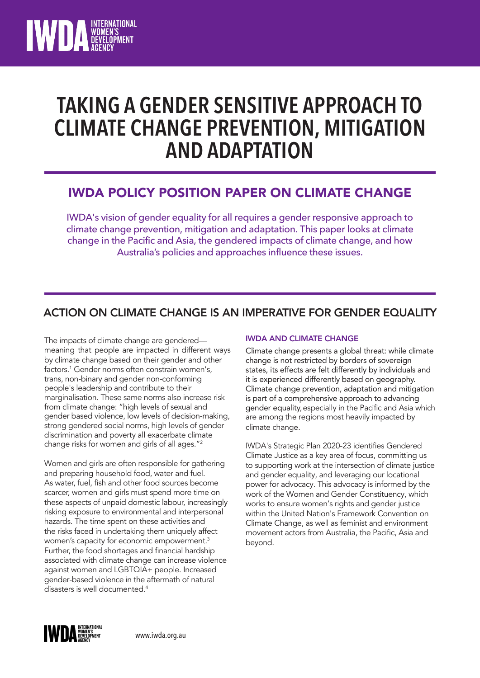

## **TAKING A GENDER SENSITIVE APPROACH TO CLIMATE CHANGE PREVENTION, MITIGATION AND ADAPTATION**

## IWDA POLICY POSITION PAPER ON CLIMATE CHANGE

IWDA's vision of gender equality for all requires a gender responsive approach to climate change prevention, mitigation and adaptation. This paper looks at climate change in the Pacific and Asia, the gendered impacts of climate change, and how Australia's policies and approaches influence these issues.

### ACTION ON CLIMATE CHANGE IS AN IMPERATIVE FOR GENDER EQUALITY

The impacts of climate change are gendered meaning that people are impacted in different ways by climate change based on their gender and other factors. <sup>1</sup> Gender norms often constrain women's, trans, non-binary and gender non-conforming people's leadership and contribute to their marginalisation. These same norms also increase risk from climate change: "high levels of sexual and gender based violence, low levels of decision-making, strong gendered social norms, high levels of gender discrimination and poverty all exacerbate climate change risks for women and girls of all ages."<sup>2</sup>

Women and girls are often responsible for gathering and preparing household food, water and fuel. As water, fuel, fish and other food sources become scarcer, women and girls must spend more time on these aspects of unpaid domestic labour, increasingly risking exposure to environmental and interpersonal hazards. The time spent on these activities and the risks faced in undertaking them uniquely affect women's capacity for economic empowerment.<sup>3</sup> Further, the food shortages and financial hardship associated with climate change can increase violence against women and LGBTQIA+ people. Increased gender-based violence in the aftermath of natural disasters is well documented.<sup>4</sup>

### IWDA AND CLIMATE CHANGE

Climate change presents a global threat: while climate change is not restricted by borders of sovereign states, its effects are felt differently by individuals and it is experienced differently based on geography. Climate change prevention, adaptation and mitigation is part of a comprehensive approach to advancing gender equality,especially in the Pacific and Asia which are among the regions most heavily impacted by climate change.

IWDA's Strategic Plan 2020-23 identifies Gendered Climate Justice as a key area of focus, committing us to supporting work at the intersection of climate justice and gender equality, and leveraging our locational power for advocacy. This advocacy is informed by the work of the Women and Gender Constituency, which works to ensure women's rights and gender justice within the United Nation's Framework Convention on Climate Change, as well as feminist and environment movement actors from Australia, the Pacific, Asia and beyond.

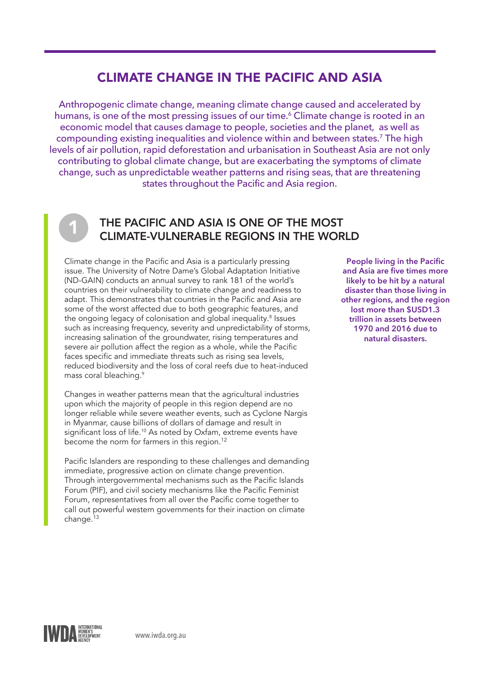## CLIMATE CHANGE IN THE PACIFIC AND ASIA

Anthropogenic climate change, meaning climate change caused and accelerated by humans, is one of the most pressing issues of our time.<sup>6</sup> Climate change is rooted in an economic model that causes damage to people, societies and the planet, as well as compounding existing inequalities and violence within and between states.<sup>7</sup> The high levels of air pollution, rapid deforestation and urbanisation in Southeast Asia are not only contributing to global climate change, but are exacerbating the symptoms of climate change, such as unpredictable weather patterns and rising seas, that are threatening states throughout the Pacific and Asia region.



### THE PACIFIC AND ASIA IS ONE OF THE MOST CLIMATE-VULNERABLE REGIONS IN THE WORLD

Climate change in the Pacific and Asia is a particularly pressing issue. The University of Notre Dame's Global Adaptation Initiative (ND-GAIN) conducts an annual survey to rank 181 of the world's countries on their vulnerability to climate change and readiness to adapt. This demonstrates that countries in the Pacific and Asia are some of the worst affected due to both geographic features, and the ongoing legacy of colonisation and global inequality.<sup>8</sup> Issues such as increasing frequency, severity and unpredictability of storms, increasing salination of the groundwater, rising temperatures and severe air pollution affect the region as a whole, while the Pacific faces specific and immediate threats such as rising sea levels, reduced biodiversity and the loss of coral reefs due to heat-induced mass coral bleaching.<sup>9</sup>

Changes in weather patterns mean that the agricultural industries upon which the majority of people in this region depend are no longer reliable while severe weather events, such as Cyclone Nargis in Myanmar, cause billions of dollars of damage and result in significant loss of life.<sup>10</sup> As noted by Oxfam, extreme events have become the norm for farmers in this region.<sup>12</sup>

Pacific Islanders are responding to these challenges and demanding immediate, progressive action on climate change prevention. Through intergovernmental mechanisms such as the Pacific Islands Forum (PIF), and civil society mechanisms like the Pacific Feminist Forum, representatives from all over the Pacific come together to call out powerful western governments for their inaction on climate  $change.<sup>13</sup>$ 

**People living in the Pacific and Asia are five times more likely to be hit by a natural disaster than those living in other regions, and the region lost more than \$USD1.3 trillion in assets between 1970 and 2016 due to natural disasters.**

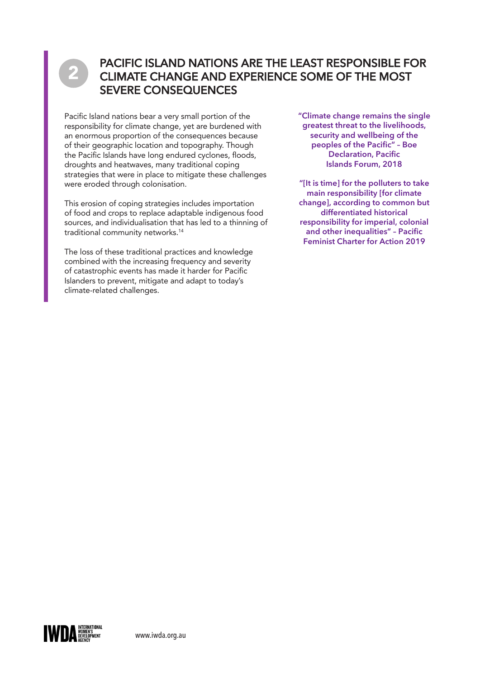# 2

### PACIFIC ISLAND NATIONS ARE THE LEAST RESPONSIBLE FOR CLIMATE CHANGE AND EXPERIENCE SOME OF THE MOST SEVERE CONSEQUENCES

Pacific Island nations bear a very small portion of the responsibility for climate change, yet are burdened with an enormous proportion of the consequences because of their geographic location and topography. Though the Pacific Islands have long endured cyclones, floods, droughts and heatwaves, many traditional coping strategies that were in place to mitigate these challenges were eroded through colonisation.

This erosion of coping strategies includes importation of food and crops to replace adaptable indigenous food sources, and individualisation that has led to a thinning of traditional community networks.14

The loss of these traditional practices and knowledge combined with the increasing frequency and severity of catastrophic events has made it harder for Pacific Islanders to prevent, mitigate and adapt to today's climate-related challenges.

**"Climate change remains the single greatest threat to the livelihoods, security and wellbeing of the peoples of the Pacific" – Boe Declaration, Pacific Islands Forum, 2018**

**"[It is time] for the polluters to take main responsibility [for climate change], according to common but differentiated historical responsibility for imperial, colonial and other inequalities" – Pacific Feminist Charter for Action 2019**

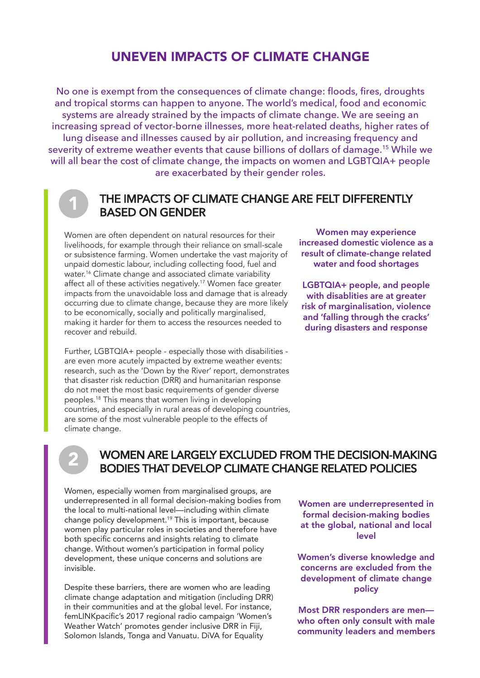### UNEVEN IMPACTS OF CLIMATE CHANGE

No one is exempt from the consequences of climate change: floods, fires, droughts and tropical storms can happen to anyone. The world's medical, food and economic systems are already strained by the impacts of climate change. We are seeing an increasing spread of vector-borne illnesses, more heat-related deaths, higher rates of lung disease and illnesses caused by air pollution, and increasing frequency and severity of extreme weather events that cause billions of dollars of damage.<sup>15</sup> While we will all bear the cost of climate change, the impacts on women and LGBTQIA+ people are exacerbated by their gender roles.

### THE IMPACTS OF CLIMATE CHANGE ARE FELT DIFFERENTLY BASED ON GENDER

Women are often dependent on natural resources for their livelihoods, for example through their reliance on small-scale or subsistence farming. Women undertake the vast majority of unpaid domestic labour, including collecting food, fuel and water.<sup>16</sup> Climate change and associated climate variability affect all of these activities negatively.<sup>17</sup> Women face greater impacts from the unavoidable loss and damage that is already occurring due to climate change, because they are more likely to be economically, socially and politically marginalised, making it harder for them to access the resources needed to recover and rebuild.

Further, LGBTQIA+ people - especially those with disabilities are even more acutely impacted by extreme weather events: research, such as the 'Down by the River' report, demonstrates that disaster risk reduction (DRR) and humanitarian response do not meet the most basic requirements of gender diverse peoples.<sup>18</sup> This means that women living in developing countries, and especially in rural areas of developing countries, are some of the most vulnerable people to the effects of climate change.

**Women may experience increased domestic violence as a result of climate-change related water and food shortages**

**LGBTQIA+ people, and people with disablities are at greater risk of marginalisation, violence and 'falling through the cracks' during disasters and response**

# 2

1

### WOMEN ARE LARGELY EXCLUDED FROM THE DECISION-MAKING BODIES THAT DEVELOP CLIMATE CHANGE RELATED POLICIES

Women, especially women from marginalised groups, are underrepresented in all formal decision-making bodies from the local to multi-national level—including within climate change policy development.19 This is important, because women play particular roles in societies and therefore have both specific concerns and insights relating to climate change. Without women's participation in formal policy development, these unique concerns and solutions are invisible.

Despite these barriers, there are women who are leading climate change adaptation and mitigation (including DRR) in their communities and at the global level. For instance, femLINKpacific's 2017 regional radio campaign 'Women's Weather Watch' promotes gender inclusive DRR in Fiji, Solomon Islands, Tonga and Vanuatu. DiVA for Equality

Women are underrepresented in formal decision-making bodies at the global, national and local level

Women's diverse knowledge and concerns are excluded from the development of climate change policy

Most DRR responders are men who often only consult with male community leaders and members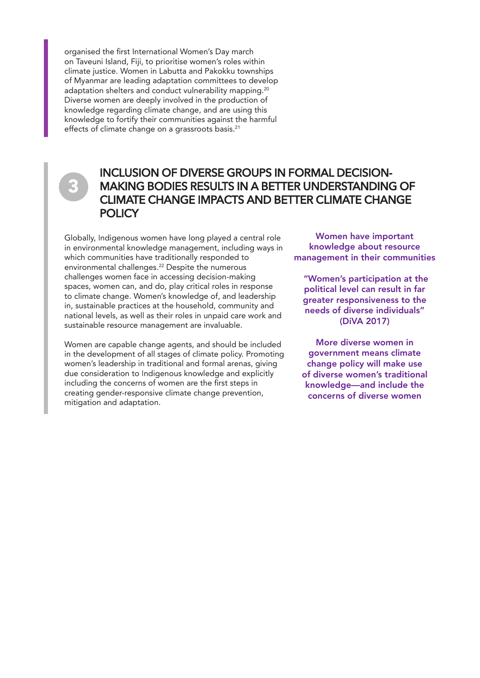organised the first International Women's Day march on Taveuni Island, Fiji, to prioritise women's roles within climate justice. Women in Labutta and Pakokku townships of Myanmar are leading adaptation committees to develop adaptation shelters and conduct vulnerability mapping.<sup>20</sup> Diverse women are deeply involved in the production of knowledge regarding climate change, and are using this knowledge to fortify their communities against the harmful effects of climate change on a grassroots basis.<sup>21</sup>

# 3

### INCLUSION OF DIVERSE GROUPS IN FORMAL DECISION-MAKING BODIES RESULTS IN A BETTER UNDERSTANDING OF CLIMATE CHANGE IMPACTS AND BETTER CLIMATE CHANGE **POLICY**

Globally, Indigenous women have long played a central role in environmental knowledge management, including ways in which communities have traditionally responded to environmental challenges.<sup>22</sup> Despite the numerous challenges women face in accessing decision-making spaces, women can, and do, play critical roles in response to climate change. Women's knowledge of, and leadership in, sustainable practices at the household, community and national levels, as well as their roles in unpaid care work and sustainable resource management are invaluable.

Women are capable change agents, and should be included in the development of all stages of climate policy. Promoting women's leadership in traditional and formal arenas, giving due consideration to Indigenous knowledge and explicitly including the concerns of women are the first steps in creating gender-responsive climate change prevention, mitigation and adaptation.

Women have important knowledge about resource management in their communities

 "Women's participation at the political level can result in far greater responsiveness to the needs of diverse individuals" (DiVA 2017)

More diverse women in government means climate change policy will make use of diverse women's traditional knowledge—and include the concerns of diverse women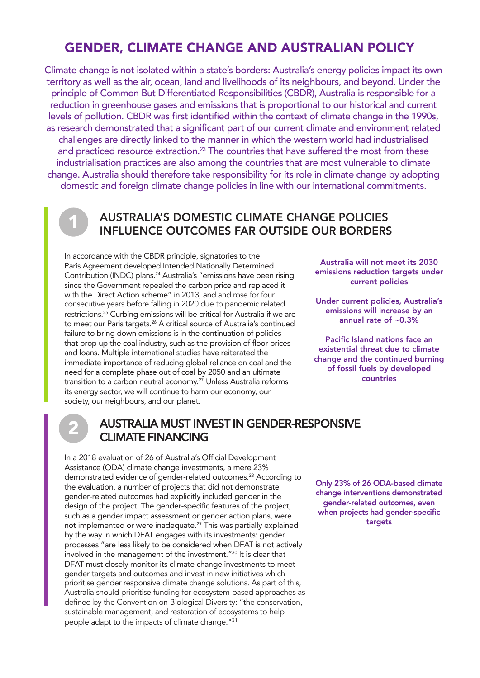### GENDER, CLIMATE CHANGE AND AUSTRALIAN POLICY

Climate change is not isolated within a state's borders: Australia's energy policies impact its own territory as well as the air, ocean, land and livelihoods of its neighbours, and beyond. Under the principle of Common But Differentiated Responsibilities (CBDR), Australia is responsible for a reduction in greenhouse gases and emissions that is proportional to our historical and current levels of pollution. CBDR was first identified within the context of climate change in the 1990s, as research demonstrated that a significant part of our current climate and environment related challenges are directly linked to the manner in which the western world had industrialised and practiced resource extraction.<sup>23</sup> The countries that have suffered the most from these industrialisation practices are also among the countries that are most vulnerable to climate change. Australia should therefore take responsibility for its role in climate change by adopting domestic and foreign climate change policies in line with our international commitments.

### AUSTRALIA'S DOMESTIC CLIMATE CHANGE POLICIES INFLUENCE OUTCOMES FAR OUTSIDE OUR BORDERS

In accordance with the CBDR principle, signatories to the Paris Agreement developed Intended Nationally Determined Contribution (INDC) plans.<sup>24</sup> Australia's "emissions have been rising since the Government repealed the carbon price and replaced it with the Direct Action scheme" in 2013, and and rose for four consecutive years before falling in 2020 due to pandemic related restrictions. <sup>25</sup> Curbing emissions will be critical for Australia if we are to meet our Paris targets.<sup>26</sup> A critical source of Australia's continued failure to bring down emissions is in the continuation of policies that prop up the coal industry, such as the provision of floor prices and loans. Multiple international studies have reiterated the immediate importance of reducing global reliance on coal and the need for a complete phase out of coal by 2050 and an ultimate transition to a carbon neutral economy. <sup>27</sup> Unless Australia reforms its energy sector, we will continue to harm our economy, our society, our neighbours, and our planet.

Australia will not meet its 2030 emissions reduction targets under current policies

Under current policies, Australia's emissions will increase by an annual rate of ~0.3%

Pacific Island nations face an existential threat due to climate change and the continued burning of fossil fuels by developed countries

# 2

1

### AUSTRALIA MUST INVEST IN GENDER-RESPONSIVE CLIMATE FINANCING

In a 2018 evaluation of 26 of Australia's Official Development Assistance (ODA) climate change investments, a mere 23% demonstrated evidence of gender-related outcomes.<sup>28</sup> According to the evaluation, a number of projects that did not demonstrate gender-related outcomes had explicitly included gender in the design of the project. The gender-specific features of the project, such as a gender impact assessment or gender action plans, were not implemented or were inadequate.<sup>29</sup> This was partially explained by the way in which DFAT engages with its investments: gender processes "are less likely to be considered when DFAT is not actively involved in the management of the investment."<sup>30</sup> It is clear that DFAT must closely monitor its climate change investments to meet gender targets and outcomes and invest in new initiatives which prioritise gender responsive climate change solutions. As part of this, Australia should prioritise funding for ecosystem-based approaches as defined by the Convention on Biological Diversity: "the conservation, sustainable management, and restoration of ecosystems to help people adapt to the impacts of climate change." 31

Only 23% of 26 ODA-based climate change interventions demonstrated gender-related outcomes, even when projects had gender-specific targets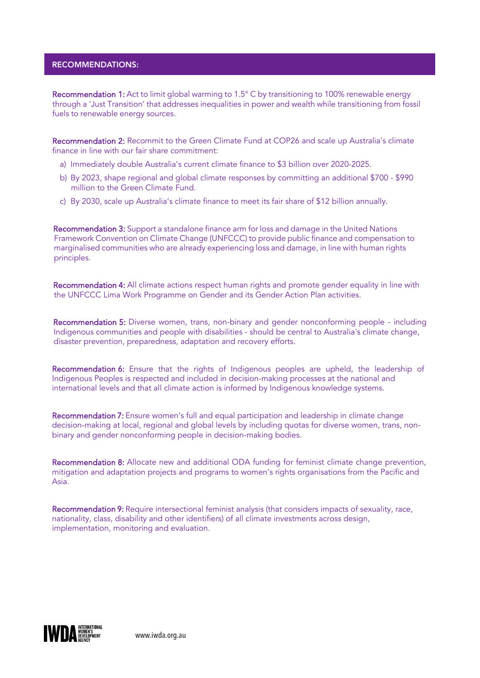#### RECOMMENDATIONS:

Recommendation 1: Act to limit global warming to 1.5° C by transitioning to 100% renewable energy through a 'Just Transition' that addresses inequalities in power and wealth while transitioning from fossil fuels to renewable energy sources.

Recommendation 2: Recommit to the Green Climate Fund at COP26 and scale up Australia's climate finance in line with our fair share commitment:

- a) Immediately double Australia's current climate finance to \$3 billion over 2020-2025.
- b) By 2023, shape regional and global climate responses by committing an additional \$700 \$990 million to the Green Climate Fund.
- c) By 2030, scale up Australia's climate finance to meet its fair share of \$12 billion annually.

Recommendation 3: Support a standalone finance arm for loss and damage in the United Nations Framework Convention on Climate Change (UNFCCC) to provide public finance and compensation to marginalised communities who are already experiencing loss and damage, in line with human rights principles.

Recommendation 4: All climate actions respect human rights and promote gender equality in line with the UNFCCC Lima Work Programme on Gender and its Gender Action Plan activities.

Recommendation 5: Diverse women, trans, non-binary and gender nonconforming people - including Indigenous communities and people with disabilities - should be central to Australia's climate change, disaster prevention, preparedness, adaptation and recovery efforts.

Recommendation 6: Ensure that the rights of Indigenous peoples are upheld, the leadership of Indigenous Peoples is respected and included in decision-making processes at the national and international levels and that all climate action is informed by Indigenous knowledge systems.

Recommendation 7: Ensure women's full and equal participation and leadership in climate change decision-making at local, regional and global levels by including quotas for diverse women, trans, nonbinary and gender nonconforming people in decision-making bodies.

Recommendation 8: Allocate new and additional ODA funding for feminist climate change prevention, mitigation and adaptation projects and programs to women's rights organisations from the Pacific and Asia.

Recommendation 9: Require intersectional feminist analysis (that considers impacts of sexuality, race, nationality, class, disability and other identifiers) of all climate investments across design, implementation, monitoring and evaluation.

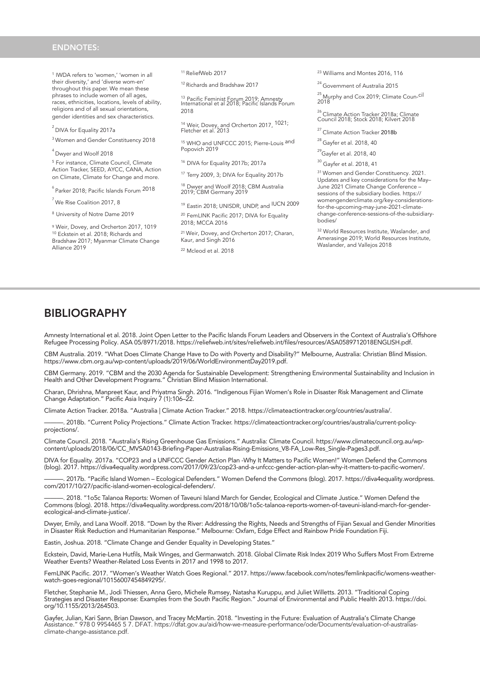#### ENDNOTES:

1 IWDA refers to 'women,' 'women in all their diversity,' and 'diverse wom-en' throughout this paper. We mean these phrases to include women of all ages, races, ethnicities, locations, levels of ability, religions and of all sexual orientations, gender identities and sex characteristics.

 $^2$  DIVA for Equality 2017a

<sup>3</sup>Women and Gender Constituency 2018

<sup>4</sup> Dwyer and Woolf 2018

<sup>5</sup> For instance, Climate Council, Climate Action Tracker, SEED, AYCC, CANA, Action on Climate, Climate for Change and more.

 $<sup>6</sup>$  Parker 2018; Pacific Islands Forum  $2018$ </sup>

 $<sup>7</sup>$  We Rise Coalition 2017, 8</sup>

<sup>8</sup> University of Notre Dame 2019

<sup>9</sup> Weir, Dovey, and Orcherton 2017, 1019 <sup>10</sup> Eckstein et al. 2018; Richards and Bradshaw 2017; Myanmar Climate Change Alliance 2019

<sup>11</sup>ReliefWeb 2017

<sup>12</sup> Richards and Bradshaw 2017

<sup>13</sup> Pacific Feminist Forum 2019; Amnesty<br>International et al 2018; Pacific Islands Forum 2018

<sup>14</sup> Weir, Dovey, and Orcherton 2017, <sup>1021;</sup><br>Fletcher et al. 2013

<sup>15</sup> WHO and UNFCCC 2015; Pierre-Louis <sup>and</sup><br>Popovich 2019

<sup>16</sup> DIVA for Equality 2017b; 2017a

<sup>17</sup> Terry 2009, 3; DIVA for Equality 2017b

<sup>18</sup> Dwyer and Woolf 2018; CBM Australia 2019; CBM Germany 2019

<sup>19</sup> Eastin 2018; UNISDR, UNDP, and IUCN 2009 <sup>20</sup> FemLINK Pacific 2017; DIVA for Equality 2018; MCCA 2016

<sup>21</sup>Weir, Dovey, and Orcherton 2017; Charan, Kaur, and Singh 2016

<sup>22</sup> Mcleod et al. 2018

<sup>23</sup> Williams and Montes 2016, 116

<sup>24</sup> Government of Australia 2015

<sup>25</sup> Murphy and Cox 2019; Climate Coun-<sup>cil</sup><br>2018

## <sup>26</sup> Climate Action Tracker 2018a; Climate<br>Council 2018; Stock 2018; Kilvert 2018

<sup>27</sup> Climate Action Tracker 2018b

 $^{28}$  Gayfer et al. 2018, 40

 $^{29}$ Gayfer et al. 2018, 40

<sup>30</sup> Gayfer et al. 2018, 41

<sup>31</sup> Women and Gender Constituency. 2021. Updates and key considerations for the May– June 2021 Climate Change Conference – sessions of the subsidiary bodies. https:// womengenderclimate.org/key-considerationsfor-the-upcoming-may-june-2021-climatechange-conference-sessions-of-the-subsidiarybodies/

<sup>32</sup> World Resources Institute, Waslander, and Amerasinge 2019; World Resources Institute, Waslander, and Vallejos 2018

### BIBLIOGRAPHY

Amnesty International et al. 2018. Joint Open Letter to the Pacific Islands Forum Leaders and Observers in the Context of Australia's Offshore Refugee Processing Policy. ASA 05/8971/2018. https://reliefweb.int/sites/reliefweb.int/files/resources/ASA0589712018ENGLISH.pdf.

CBM Australia. 2019. "What Does Climate Change Have to Do with Poverty and Disability?" Melbourne, Australia: Christian Blind Mission. https://www.cbm.org.au/wp-content/uploads/2019/06/WorldEnvironmentDay2019.pdf.

CBM Germany. 2019. "CBM and the 2030 Agenda for Sustainable Development: Strengthening Environmental Sustainability and Inclusion in Health and Other Development Programs." Christian Blind Mission International.

Charan, Dhrishna, Manpreet Kaur, and Priyatma Singh. 2016. "Indigenous Fijian Women's Role in Disaster Risk Management and Climate Change Adaptation." Pacific Asia Inquiry 7 (1):106–22.

Climate Action Tracker. 2018a. "Australia | Climate Action Tracker." 2018. https://climateactiontracker.org/countries/australia/.

———. 2018b. "Current Policy Projections." Climate Action Tracker. https://climateactiontracker.org/countries/australia/current-policyprojections/.

Climate Council. 2018. "Australia's Rising Greenhouse Gas Emissions." Australia: Climate Council. https://www.climatecouncil.org.au/wpcontent/uploads/2018/06/CC\_MVSA0143-Briefing-Paper-Australias-Rising-Emissions\_V8-FA\_Low-Res\_Single-Pages3.pdf.

DIVA for Equality. 2017a. "COP23 and a UNFCCC Gender Action Plan -Why It Matters to Pacific Women!" Women Defend the Commons (blog). 2017. https://diva4equality.wordpress.com/2017/09/23/cop23-and-a-unfccc-gender-action-plan-why-it-matters-to-pacific-women/.

———. 2017b. "Pacific Island Women – Ecological Defenders." Women Defend the Commons (blog). 2017. https://diva4equality.wordpress. com/2017/10/27/pacific-island-women-ecological-defenders/.

.<br>2018. "1o5c Talanoa Reports: Women of Taveuni Island March for Gender, Ecological and Climate Justice." Women Defend the Commons (blog). 2018. https://diva4equality.wordpress.com/2018/10/08/1o5c-talanoa-reports-women-of-taveuni-island-march-for-genderecological-and-climate-justice/.

Dwyer, Emily, and Lana Woolf. 2018. "Down by the River: Addressing the Rights, Needs and Strengths of Fijian Sexual and Gender Minorities in Disaster Risk Reduction and Humanitarian Response." Melbourne: Oxfam, Edge Effect and Rainbow Pride Foundation Fiji.

Eastin, Joshua. 2018. "Climate Change and Gender Equality in Developing States."

Eckstein, David, Marie-Lena Hutfils, Maik Winges, and Germanwatch. 2018. Global Climate Risk Index 2019 Who Suffers Most From Extreme Weather Events? Weather-Related Loss Events in 2017 and 1998 to 2017.

FemLINK Pacific. 2017. "Women's Weather Watch Goes Regional." 2017. https://www.facebook.com/notes/femlinkpacific/womens-weatherwatch-goes-regional/10156007454849295/.

Fletcher, Stephanie M., Jodi Thiessen, Anna Gero, Michele Rumsey, Natasha Kuruppu, and Juliet Willetts. 2013. "Traditional Coping Strategies and Disaster Response: Examples from the South Pacific Region." Journal of Environmental and Public Health 2013. https://doi. org/10.1155/2013/264503.

Gayfer, Julian, Kari Sann, Brian Dawson, and Tracey McMartin. 2018. "Investing in the Future: Evaluation of Australia's Climate Change<br>Assistance." 978 0 9954465 5 7. DFAT. https://dfat.gov.au/aid/how-we-measure-performanc climate-change-assistance.pdf.